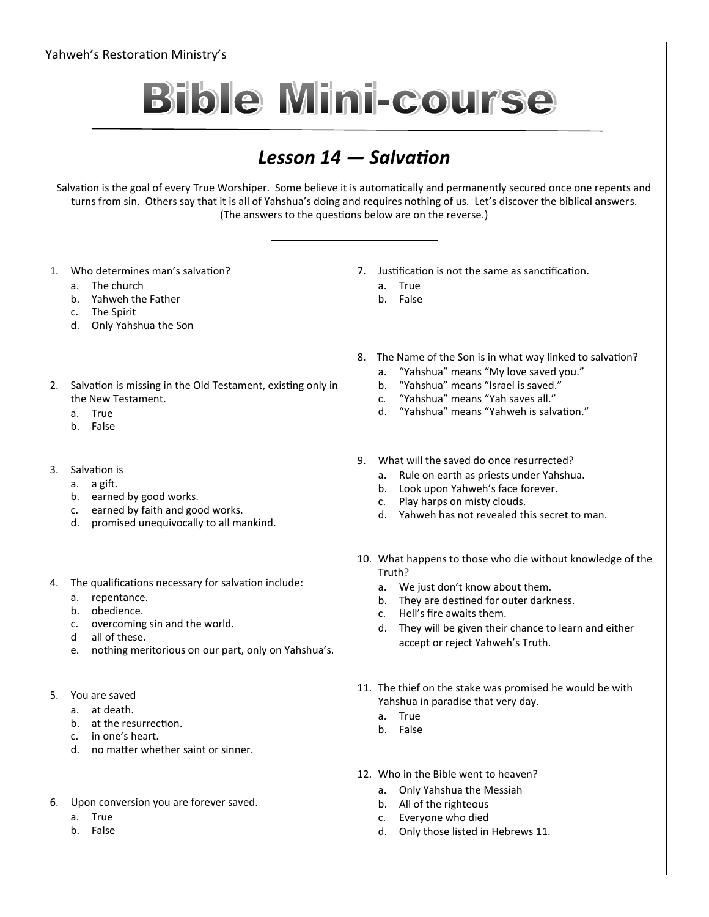Yahweh's Restoration Ministry's **Bible Mini-course** *Lesson 14 — Salvation* Salvation is the goal of every True Worshiper. Some believe it is automatically and permanently secured once one repents and turns from sin. Others say that it is all of Yahshua's doing and requires nothing of us. Let's discover the biblical answers. (The answers to the questions below are on the reverse.) 1. Who determines man's salvation? 7. Justification is not the same as sanctification. a. The church a. True b. Yahweh the Father b. False c. The Spirit d. Only Yahshua the Son 8. The Name of the Son is in what way linked to salvation? a. "Yahshua" means "My love saved you."<br>b. "Yahshua" means "Israel is saved." 2. Salvation is missing in the Old Testament, existing only in b. "Yahshua" means "Israel is saved." c. "Yahshua" means "Yah saves all." the New Testament. d. "Yahshua" means "Yahweh is salvation." a. True b. False 9. What will the saved do once resurrected? 3. Salvation is a. Rule on earth as priests under Yahshua. a. a gift. b. Look upon Yahweh's face forever.

- b. earned by good works.
- c. earned by faith and good works.
- d. promised unequivocally to all mankind.
- 4. The qualifications necessary for salvation include:
	- a. repentance.
	- b. obedience.
	- c. overcoming sin and the world.
	- d all of these.
	- e. nothing meritorious on our part, only on Yahshua's.
- 5. You are saved
	- a. at death.
	- b. at the resurrection.
	- c. in one's heart.
	- d. no matter whether saint or sinner.
- 6. Upon conversion you are forever saved.
	- a. True
	- b. False

10. What happens to those who die without knowledge of the Truth?

d. Yahweh has not revealed this secret to man.

a. We just don't know about them.

c. Play harps on misty clouds.

- b. They are destined for outer darkness.
- c. Hell's fire awaits them.
- d. They will be given their chance to learn and either accept or reject Yahweh's Truth.
- 11. The thief on the stake was promised he would be with Yahshua in paradise that very day.
	- a. True
	- b. False
- 12. Who in the Bible went to heaven?
	- a. Only Yahshua the Messiah
	- b. All of the righteous
	- c. Everyone who died
	- d. Only those listed in Hebrews 11.